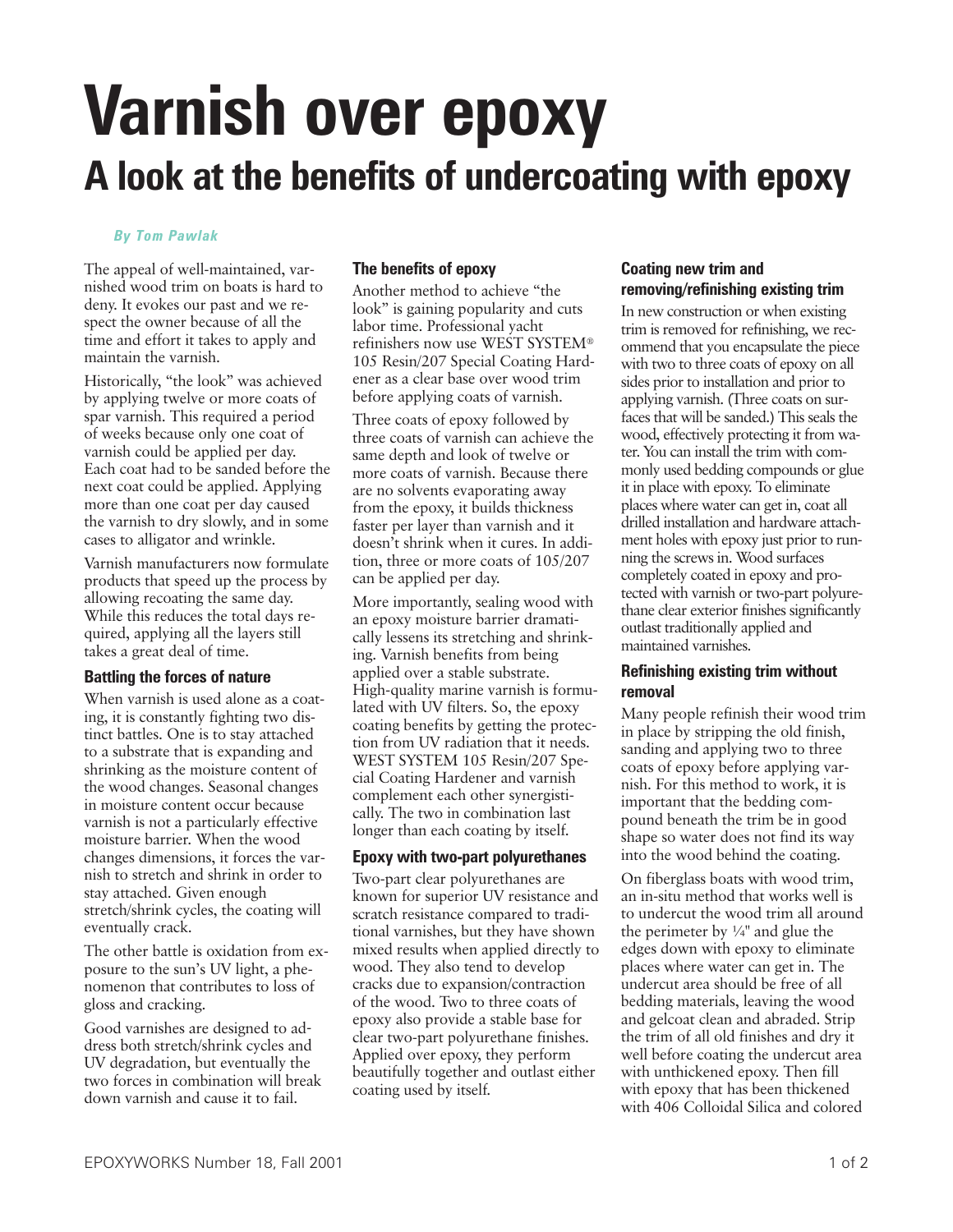# **Varnish over epoxy A look at the benefits of undercoating with epoxy**

#### *By Tom Pawlak*

The appeal of well-maintained, varnished wood trim on boats is hard to deny. It evokes our past and we respect the owner because of all the time and effort it takes to apply and maintain the varnish.

Historically, "the look" was achieved by applying twelve or more coats of spar varnish. This required a period of weeks because only one coat of varnish could be applied per day. Each coat had to be sanded before the next coat could be applied. Applying more than one coat per day caused the varnish to dry slowly, and in some cases to alligator and wrinkle.

Varnish manufacturers now formulate products that speed up the process by allowing recoating the same day. While this reduces the total days required, applying all the layers still takes a great deal of time.

## **Battling the forces of nature**

When varnish is used alone as a coating, it is constantly fighting two distinct battles. One is to stay attached to a substrate that is expanding and shrinking as the moisture content of the wood changes. Seasonal changes in moisture content occur because varnish is not a particularly effective moisture barrier. When the wood changes dimensions, it forces the varnish to stretch and shrink in order to stay attached. Given enough stretch/shrink cycles, the coating will eventually crack.

The other battle is oxidation from exposure to the sun's UV light, a phenomenon that contributes to loss of gloss and cracking.

Good varnishes are designed to address both stretch/shrink cycles and UV degradation, but eventually the two forces in combination will break down varnish and cause it to fail.

## **The benefits of epoxy**

Another method to achieve "the look" is gaining popularity and cuts labor time. Professional yacht refinishers now use WEST SYSTEM® 105 Resin/207 Special Coating Hardener as a clear base over wood trim before applying coats of varnish.

Three coats of epoxy followed by three coats of varnish can achieve the same depth and look of twelve or more coats of varnish. Because there are no solvents evaporating away from the epoxy, it builds thickness faster per layer than varnish and it doesn't shrink when it cures. In addition, three or more coats of 105/207 can be applied per day.

More importantly, sealing wood with an epoxy moisture barrier dramatically lessens its stretching and shrinking. Varnish benefits from being applied over a stable substrate. High-quality marine varnish is formulated with UV filters. So, the epoxy coating benefits by getting the protection from UV radiation that it needs. WEST SYSTEM 105 Resin/207 Special Coating Hardener and varnish complement each other synergistically. The two in combination last longer than each coating by itself.

## **Epoxy with two-part polyurethanes**

Two-part clear polyurethanes are known for superior UV resistance and scratch resistance compared to traditional varnishes, but they have shown mixed results when applied directly to wood. They also tend to develop cracks due to expansion/contraction of the wood. Two to three coats of epoxy also provide a stable base for clear two-part polyurethane finishes. Applied over epoxy, they perform beautifully together and outlast either coating used by itself.

## **Coating new trim and removing/refinishing existing trim**

In new construction or when existing trim is removed for refinishing, we recommend that you encapsulate the piece with two to three coats of epoxy on all sides prior to installation and prior to applying varnish. (Three coats on surfaces that will be sanded.) This seals the wood, effectively protecting it from water. You can install the trim with commonly used bedding compounds or glue it in place with epoxy. To eliminate places where water can get in, coat all drilled installation and hardware attachment holes with epoxy just prior to running the screws in. Wood surfaces completely coated in epoxy and protected with varnish or two-part polyurethane clear exterior finishes significantly outlast traditionally applied and maintained varnishes.

## **Refinishing existing trim without removal**

Many people refinish their wood trim in place by stripping the old finish, sanding and applying two to three coats of epoxy before applying varnish. For this method to work, it is important that the bedding compound beneath the trim be in good shape so water does not find its way into the wood behind the coating.

On fiberglass boats with wood trim, an in-situ method that works well is to undercut the wood trim all around the perimeter by  $\frac{1}{4}$ " and glue the edges down with epoxy to eliminate places where water can get in. The undercut area should be free of all bedding materials, leaving the wood and gelcoat clean and abraded. Strip the trim of all old finishes and dry it well before coating the undercut area with unthickened epoxy. Then fill with epoxy that has been thickened with 406 Colloidal Silica and colored